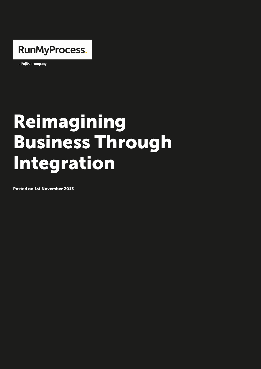

a Fujitsu company

## Reimagining Business Through Integration

Posted on 1st November 2013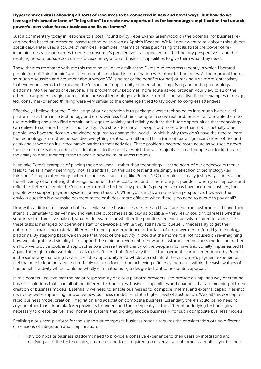leverage this broader form of integration to create new opportunities for technology simplification that unlock powerful new value for our business and its customers?

Just a commentary today inproesstpbrice entoblay by Peter Evans-Ghree por where the indusiness engineering based on presence-based technologies such as Apple s iBeacon. While I specifically, Peter uses a couple of very clear examples in terms of retail purchasing imagining desirable outcomes from the consumer s perspective as opposed to a tec resulting need to pursue c[onsumer-focused integration](http://peter.evans-greenwood.com/2013/09/16/has-apple-made-nfc-irrelevant/) of business capabilities to gi

These themes resonated with me this tonaldxrnaith the as Elu goaovloo uad congines web incence in below a ted people for not thinking big about the potential of cloud in combination with other to so much discussion and argument about whose VM is better or the benefits (or not) c that everyone seems to be missing the moon shot opportunity of integrating, simpli platforms into the hands of everyone[. This problem only becom](http://www.youtube.com/watch?v=59F7IkbziVA)es more acute as you other silo arguments raging across other areas of technology evolution. From this pe led, consumer-oriented thinking were very similar to the challenge I tried to lay dow

Effectively I believe that the IT challenge of our generation is to package diverse te platforms that humanise technology and empower less technical people to solve real use modelling and simplified domain languages to scalably and reliably address the can deliver to science, business and society. It s a shock to many IT peompete but mor people who have the domain knowledge required to change the world which is why t the technology. From their perspective everything related to traditional IT is a form delay and at worst an insurmountable barrier to their activities. These problems become the size of organisation under consideration to the point at which the vast majority the ability to bring their expertise to bear in new digital business models.

If we take Peter s examples of placing the consumer rather than technology at the feels to me as if many seemingly hot IT trends fail on this basic test and are simpl thinking. Doing isolated things better because we can e.g. like Peter s NFC exampl the efficiency of something that brings no benefit to the customer and is therefore ju reflect. In Peter s example the customer from the technology provider s perspective people who support payment systems or even the CIO. When you shift to an outside-i obvious question is why make payment at the cash desk more efficient when there is

I know it s a difficult discussion but in a similar sense businesses rather than IT sta intent is ultimately to deliver new anad svantulablike aosutpcootshosaetys leeally couldn t care less wh your infrastructure is virtualised, what middleware is or whether the pointless techni these tasks is managed by operations staff or developers. While they still have to q outcomes it makes no material difference to their poor experience or the lack of emp platforms. By stepping back we can see that most of the activity in cloud at the mom how we integrate and simplify IT to support the rapid achievement of new and custom on how we provide tools and approaches to increase the efficiency of the people who Again, this might make worthless tasks more efficient but effectively it s like the pay in the same way that using NFC misses the opportunity for a wholesale rethink of the feel that most cloud activity (and certainly noise) is focused on achieving efficiency traditional IT activity which could be wholly eliminated using a design-led, outcome-

In this context I believe that the major responsibility of cloud platform providers is t business solutions that span all of the different technologies, business capabilities creation of business models. Essentially we need to enable businesses to compose new value webs supporting innovative new business models all at a higher level of rapid business model creation, integration and adaptation and adding the should be no need for the resolution compo anyone other than cloud platform providers to understand the complexity of the diffe necessary to create, deliver and monetise systems that digitally encode business IP

Realising a business platform for the support of composite business models requires dimensions of integration and simplification:

1. Firstly composite business platforms need to provide a cohesive experience to th simplifying all of the technologies, processes and tools required to deliver value